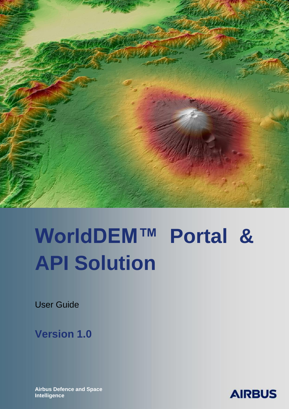

# **WorldDEM™ Portal & API Solution**

User Guide

**Version 1.0**

**Airbus Defence and Space Intelligence** 

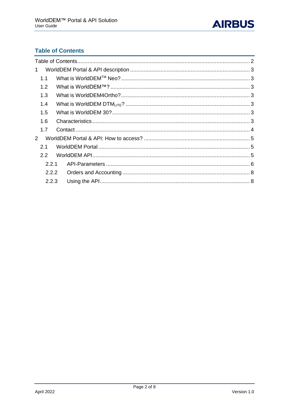

# <span id="page-1-0"></span>**Table of Contents**

|  | 1.1<br>1.2<br>1.3<br>1.4<br>1.5<br>1.6<br>1.7<br>2.1<br>$2.2^{\circ}$ | 2.2.1<br>2.2.2<br>2.2.3 |  |
|--|-----------------------------------------------------------------------|-------------------------|--|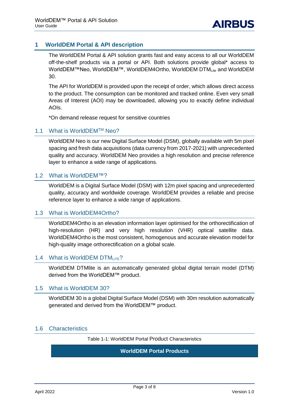## <span id="page-2-0"></span>**1 WorldDEM Portal & API description**

The WorldDEM Portal & API solution grants fast and easy access to all our WorldDEM off-the-shelf products via a portal or API. Both solutions provide global\* access to WorldDEM™Neo, WorldDEM™, WorldDEM4Ortho, WorldDEM DTM<sub>Lite</sub> and WorldDEM 30.

The API for WorldDEM is provided upon the receipt of order, which allows direct access to the product. The consumption can be monitored and tracked online. Even very small Areas of Interest (AOI) may be downloaded, allowing you to exactly define individual AOIs.

\*On demand release request for sensitive countries

## <span id="page-2-1"></span>1.1 What is WorldDEMTM Neo?

WorldDEM Neo is our new Digital Surface Model (DSM), globally available with 5m pixel spacing and fresh data acquisitions (data currency from 2017-2021) with unprecedented quality and accuracy. WorldDEM Neo provides a high resolution and precise reference layer to enhance a wide range of applications.

## <span id="page-2-2"></span>1.2 What is WorldDEM™?

WorldDEM is a Digital Surface Model (DSM) with 12m pixel spacing and unprecedented quality, accuracy and worldwide coverage. WorldDEM provides a reliable and precise reference layer to enhance a wide range of applications.

### <span id="page-2-3"></span>1.3 What is WorldDEM4Ortho?

WorldDEM4Ortho is an elevation information layer optimised for the orthorectification of high-resolution (HR) and very high resolution (VHR) optical satellite data. WorldDEM4Ortho is the most consistent, homogenous and accurate elevation model for high-quality image orthorectification on a global scale.

### <span id="page-2-4"></span>1.4 What is WorldDEM DTM  $_{\text{IF}}$ ?

WorldDEM DTMlite is an automatically generated global digital terrain model (DTM) derived from the WorldDEM™ product.

### <span id="page-2-5"></span>1.5 What is WorldDEM 30?

WorldDEM 30 is a global Digital Surface Model (DSM) with 30m resolution automatically generated and derived from the WorldDEM™ product.

## <span id="page-2-6"></span>1.6 Characteristics

Table 1-1: WorldDEM Portal Product Characteristics

### **WorldDEM Portal Products**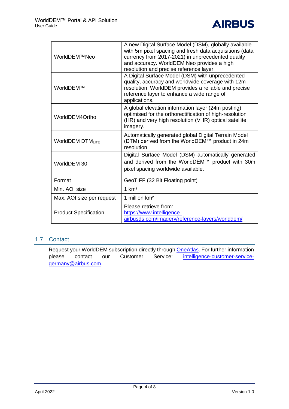

| WorldDEM™Neo                 | A new Digital Surface Model (DSM), globally available<br>with 5m pixel spacing and fresh data acquisitions (data<br>currency from 2017-2021) in unprecedented quality<br>and accuracy. WorldDEM Neo provides a high<br>resolution and precise reference layer. |  |
|------------------------------|----------------------------------------------------------------------------------------------------------------------------------------------------------------------------------------------------------------------------------------------------------------|--|
| WorldDEM™                    | A Digital Surface Model (DSM) with unprecedented<br>quality, accuracy and worldwide coverage with 12m<br>resolution. WorldDEM provides a reliable and precise<br>reference layer to enhance a wide range of<br>applications.                                   |  |
| WorldDEM4Ortho               | A global elevation information layer (24m posting)<br>optimised for the orthorectification of high-resolution<br>(HR) and very high resolution (VHR) optical satellite<br>imagery.                                                                             |  |
| <b>WorldDEM DTMLITE</b>      | Automatically generated global Digital Terrain Model<br>(DTM) derived from the WorldDEM™ product in 24m<br>resolution.                                                                                                                                         |  |
| WorldDEM 30                  | Digital Surface Model (DSM) automatically generated<br>and derived from the WorldDEM™ product with 30m<br>pixel spacing worldwide available.                                                                                                                   |  |
| Format                       | GeoTIFF (32 Bit Floating point)                                                                                                                                                                                                                                |  |
| Min. AOI size                | 1 km <sup>2</sup>                                                                                                                                                                                                                                              |  |
| Max. AOI size per request    | 1 million km <sup>2</sup>                                                                                                                                                                                                                                      |  |
| <b>Product Specification</b> | Please retrieve from:<br>https://www.intelligence-<br>airbusds.com/imagery/reference-layers/worlddem/                                                                                                                                                          |  |

## <span id="page-3-0"></span>1.7 Contact

Request your WorldDEM subscription directly through **OneAtlas**. For further information please contact our Customer Service: [intelligence-customer-service](mailto:intelligence-customer-service-germany@airbus.com)[germany@airbus.com.](mailto:intelligence-customer-service-germany@airbus.com)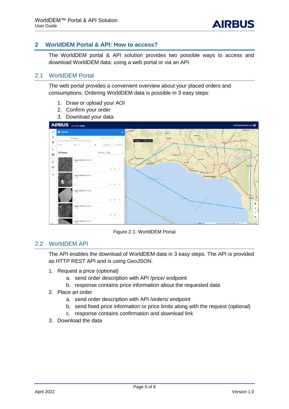## <span id="page-4-0"></span>**2 WorldDEM Portal & API: How to access?**

The WorldDEM portal & API solution provides two possible ways to access and download WorldDEM data: using a web portal or via an API.

## <span id="page-4-1"></span>2.1 WorldDEM Portal

The web portal provides a convenient overview about your placed orders and consumptions. Ordering WorldDEM data is possible in 3 easy steps:

- 1. Draw or upload your AOI
- 2. Confirm your order
- 3. Download your data



Figure 2-1: WorldDEM Portal

## <span id="page-4-2"></span>2.2 WorldDEM API

The API enables the download of WorldDEM data in 3 easy steps. The API is provided as HTTP REST API and is using GeoJSON.

- 1. Request a price (optional)
	- a. send order description with API /price/ endpoint
	- b. response contains price information about the requested data
- 2. Place an order
	- a. send order description with API /orders/ endpoint
	- b. send fixed price information or price limits along with the request (optional)
	- c. response contains confirmation and download link
- 3. Download the data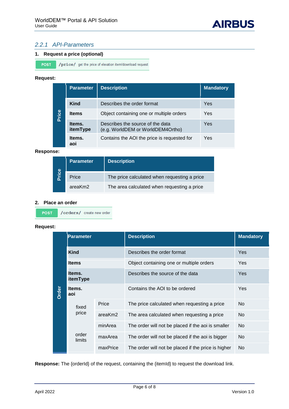## <span id="page-5-0"></span>*2.2.1 API-Parameters*

#### **1. Request a price (optional)**

POST /price/ get the price of elevation item/download request

#### **Request:**

| Price | <b>Parameter</b>   | <b>Description</b>                                                    | <b>Mandatory</b> |
|-------|--------------------|-----------------------------------------------------------------------|------------------|
|       | Kind               | Describes the order format                                            | Yes              |
|       | <b>Items</b>       | Object containing one or multiple orders                              | Yes              |
|       | ltems.<br>itemType | Describes the source of the data<br>(e.g. WorldDEM or WorldDEM4Ortho) | Yes              |
|       | ltems.<br>aoi      | Contains the AOI the price is requested for                           | Yes              |

#### **Response:**

| Price | Parameter | <b>Description</b>                           |  |
|-------|-----------|----------------------------------------------|--|
|       | Price     | The price calculated when requesting a price |  |
|       | areaKm2   | The area calculated when requesting a price  |  |

#### **2. Place an order**

**POST** /orders/ create new order

#### **Request:**

|       | Parameter          |          | <b>Description</b>                                  | <b>Mandatory</b> |
|-------|--------------------|----------|-----------------------------------------------------|------------------|
|       | Kind               |          | Describes the order format                          | Yes              |
|       | <b>Items</b>       |          | Object containing one or multiple orders            | <b>Yes</b>       |
|       | ltems.<br>itemType |          | Describes the source of the data                    | <b>Yes</b>       |
| Order | Items.<br>aoi      |          | Contains the AOI to be ordered                      | <b>Yes</b>       |
|       | fixed              | Price    | The price calculated when requesting a price        | No.              |
|       | price              | areaKm2  | The area calculated when requesting a price         | <b>No</b>        |
|       |                    | minArea  | The order will not be placed if the aoi is smaller  | No.              |
|       | order<br>limits    | maxArea  | The order will not be placed if the aoi is bigger   | No.              |
|       |                    | maxPrice | The order will not be placed if the price is higher | No.              |

**Response:** The {orderId} of the request, containing the {itemId} to request the download link.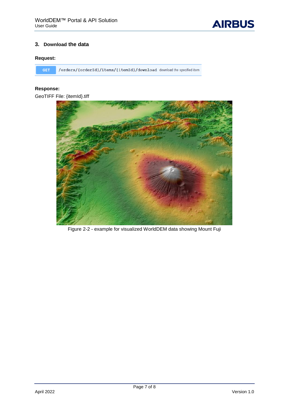

### **3. Download the data**

### **Request:**

GET /orders/{orderId}/items/{itemId}/download download the specified item

## **Response:**

GeoTIFF File: {itemId}.tiff



Figure 2-2 - example for visualized WorldDEM data showing Mount Fuji